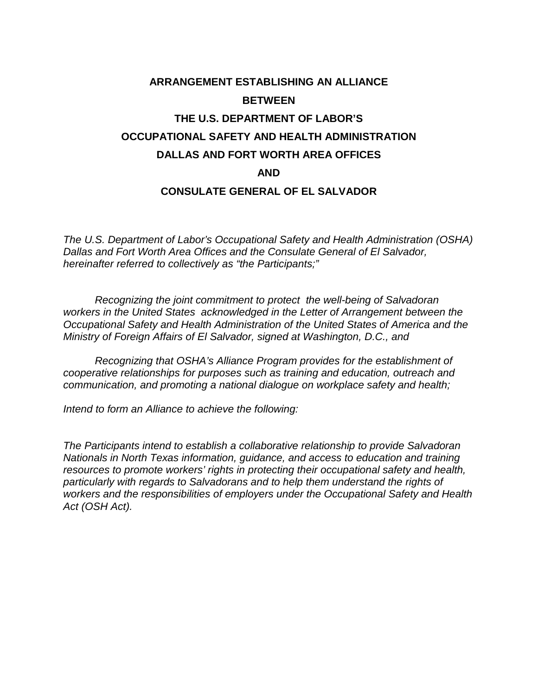# **ARRANGEMENT ESTABLISHING AN ALLIANCE BETWEEN THE U.S. DEPARTMENT OF LABOR'S OCCUPATIONAL SAFETY AND HEALTH ADMINISTRATION DALLAS AND FORT WORTH AREA OFFICES AND**

#### **CONSULATE GENERAL OF EL SALVADOR**

*The U.S. Department of Labor's Occupational Safety and Health Administration (OSHA) Dallas and Fort Worth Area Offices and the Consulate General of El Salvador, hereinafter referred to collectively as "the Participants;"*

*Recognizing the joint commitment to protect the well-being of Salvadoran workers in the United States acknowledged in the Letter of Arrangement between the Occupational Safety and Health Administration of the United States of America and the Ministry of Foreign Affairs of El Salvador, signed at Washington, D.C., and* 

*Recognizing that OSHA's Alliance Program provides for the establishment of cooperative relationships for purposes such as training and education, outreach and communication, and promoting a national dialogue on workplace safety and health;* 

*Intend to form an Alliance to achieve the following:* 

*The Participants intend to establish a collaborative relationship to provide Salvadoran Nationals in North Texas information, guidance, and access to education and training resources to promote workers' rights in protecting their occupational safety and health, particularly with regards to Salvadorans and to help them understand the rights of workers and the responsibilities of employers under the Occupational Safety and Health Act (OSH Act).*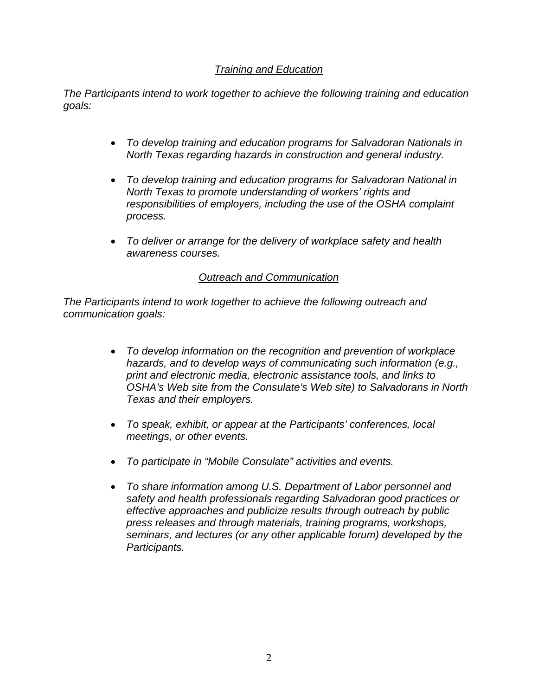### *Training and Education*

*The Participants intend to work together to achieve the following training and education goals:*

- *To develop training and education programs for Salvadoran Nationals in North Texas regarding hazards in construction and general industry.*
- *To develop training and education programs for Salvadoran National in North Texas to promote understanding of workers' rights and responsibilities of employers, including the use of the OSHA complaint process.*
- *To deliver or arrange for the delivery of workplace safety and health awareness courses.*

#### *Outreach and Communication*

*The Participants intend to work together to achieve the following outreach and communication goals:*

- *To develop information on the recognition and prevention of workplace hazards, and to develop ways of communicating such information (e.g., print and electronic media, electronic assistance tools, and links to OSHA's Web site from the Consulate's Web site) to Salvadorans in North Texas and their employers.*
- *To speak, exhibit, or appear at the Participants' conferences, local meetings, or other events.*
- *To participate in "Mobile Consulate" activities and events.*
- *To share information among U.S. Department of Labor personnel and safety and health professionals regarding Salvadoran good practices or effective approaches and publicize results through outreach by public press releases and through materials, training programs, workshops, seminars, and lectures (or any other applicable forum) developed by the Participants.*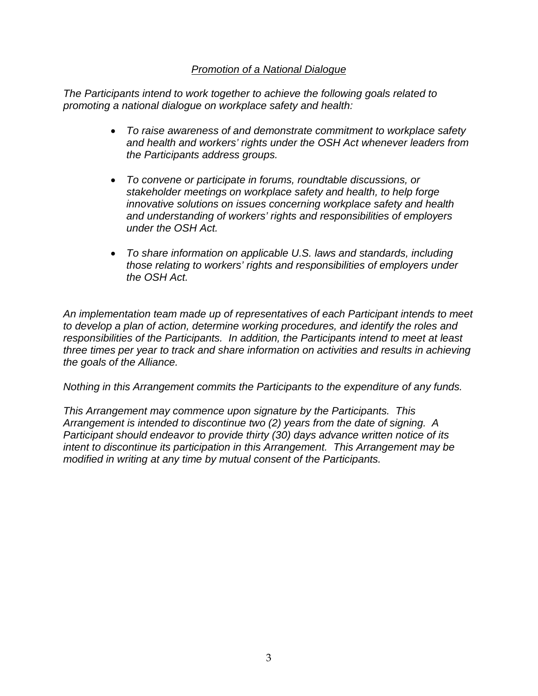#### *Promotion of a National Dialogue*

*The Participants intend to work together to achieve the following goals related to promoting a national dialogue on workplace safety and health:*

- *To raise awareness of and demonstrate commitment to workplace safety and health and workers' rights under the OSH Act whenever leaders from the Participants address groups.*
- *To convene or participate in forums, roundtable discussions, or stakeholder meetings on workplace safety and health, to help forge innovative solutions on issues concerning workplace safety and health and understanding of workers' rights and responsibilities of employers under the OSH Act.*
- *To share information on applicable U.S. laws and standards, including those relating to workers' rights and responsibilities of employers under the OSH Act.*

*An implementation team made up of representatives of each Participant intends to meet to develop a plan of action, determine working procedures, and identify the roles and responsibilities of the Participants. In addition, the Participants intend to meet at least three times per year to track and share information on activities and results in achieving the goals of the Alliance.*

*Nothing in this Arrangement commits the Participants to the expenditure of any funds.*

*This Arrangement may commence upon signature by the Participants. This Arrangement is intended to discontinue two (2) years from the date of signing. A Participant should endeavor to provide thirty (30) days advance written notice of its intent to discontinue its participation in this Arrangement. This Arrangement may be modified in writing at any time by mutual consent of the Participants.*